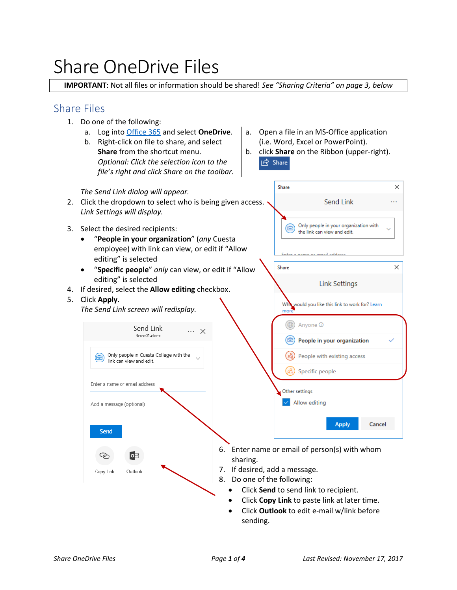# Share OneDrive Files

**IMPORTANT**: Not all files or information should be shared! *See "Sharing Criteria" on page 3, below*

### Share Files

- 1. Do one of the following:
	- a. Log int[o Office 365](https://portal.office.com/) and select **OneDrive**.
	- b. Right-click on file to share, and select **Share** from the shortcut menu. *Optional: Click the selection icon to the file's right and click Share on the toolbar.*
- a. Open a file in an MS-Office application (i.e. Word, Excel or PowerPoint).
- b. click **Share** on the Ribbon (upper-right).  $\overrightarrow{P}$  Share

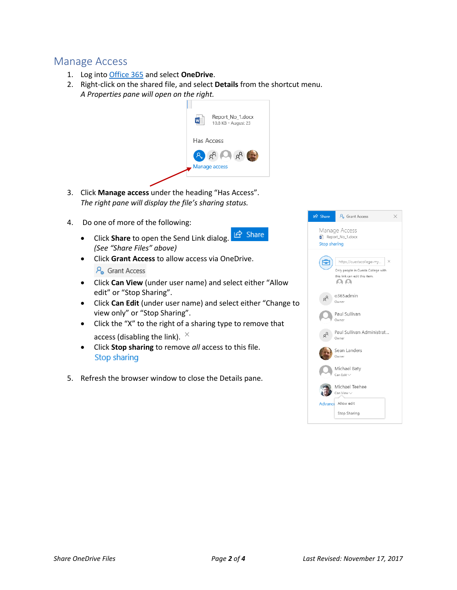## Manage Access

- 1. Log into [Office 365](https://portal.office.com/) and select **OneDrive**.
- 2. Right-click on the shared file, and select **Details** from the shortcut menu. *A Properties pane will open on the right.*



- 3. Click **Manage access** under the heading "Has Access". *The right pane will display the file's sharing status.*
- 4. Do one of more of the following:
	- $\mathfrak{D}$  Share • Click **Share** to open the Send Link dialog. *(See "Share Files" above)*
	- Click **Grant Access** to allow access via OneDrive.  $\mathcal{P}_{\alpha}$  Grant Access
	- Click **Can View** (under user name) and select either "Allow edit" or "Stop Sharing".
	- Click **Can Edit** (under user name) and select either "Change to view only" or "Stop Sharing".
	- Click the "X" to the right of a sharing type to remove that access (disabling the link).  $\times$
	- Click **Stop sharing** to remove *all* access to this file. Stop sharing
- 5. Refresh the browser window to close the Details pane.

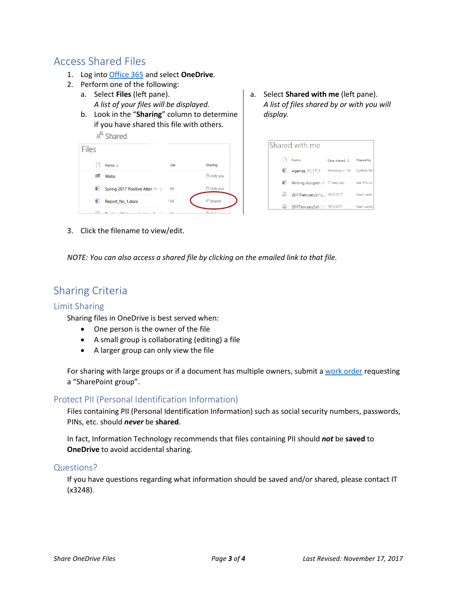## Access Shared Files

- 1. Log into [Office 365](https://portal.office.com/) and select **OneDrive**.
- 2. Perform one of the following:
	- a. Select **Files** (left pane). *A list of your files will be displayed.*
	- b. Look in the "**Sharing**" column to determine if you have shared this file with others.  $a^R$  charad

| ⌒     | onareu                           |        |                      |
|-------|----------------------------------|--------|----------------------|
| Files |                                  |        |                      |
|       | Name $\perp$                     | lize   | Sharing              |
|       | Webs                             |        | A Only you           |
| ¥,    | Spring 2017 Positive Atter. 1998 | :KB    | A Only you           |
| Ŵ     | Report_No_1.docx                 | $5$ KB | $R^R$ Shared         |
|       | $\mathbf{r}$<br>1.1.7.1          | 100    | Δ<br><b>Security</b> |

a. Select **Shared with me** (left pane). *A list of files shared by or with you will display.*

| Shared with me |                                               |               |            |  |  |
|----------------|-----------------------------------------------|---------------|------------|--|--|
|                | Name                                          | Date shared L | Shared by  |  |  |
| 歯              | Agenda_11_17_1 Yesterday z ' 10. Cynthia Will |               |            |  |  |
| w              | Writing Assignm:: r 17 days ag.,              |               | Lee McCre: |  |  |
|                | 2017FebruarySafe., 10/5/2017                  |               | Sean Land- |  |  |
|                | 2017JanuarySaf: 3 { 10/5/2017                 |               | Sean Lande |  |  |

3. Click the filename to view/edit.

*NOTE: You can also access a shared file by clicking on the emailed link to that file.*

## Sharing Criteria

#### Limit Sharing

Sharing files in OneDrive is best served when:

- One person is the owner of the file
- A small group is collaborating (editing) a file
- A larger group can only view the file

For sharing with large groups or if a document has multiple owners, submit a [work order](https://www.cuesta.edu/departments/documents/training_docs/Using_Work_Order_System.pdf) requesting a "SharePoint group".

#### Protect PII (Personal Identification Information)

Files containing PII (Personal Identification Information) such as social security numbers, passwords, PINs, etc. should *never* be **shared**.

In fact, Information Technology recommends that files containing PII should *not* be **saved** to **OneDrive** to avoid accidental sharing.

#### Questions?

If you have questions regarding what information should be saved and/or shared, please contact IT (x3248).